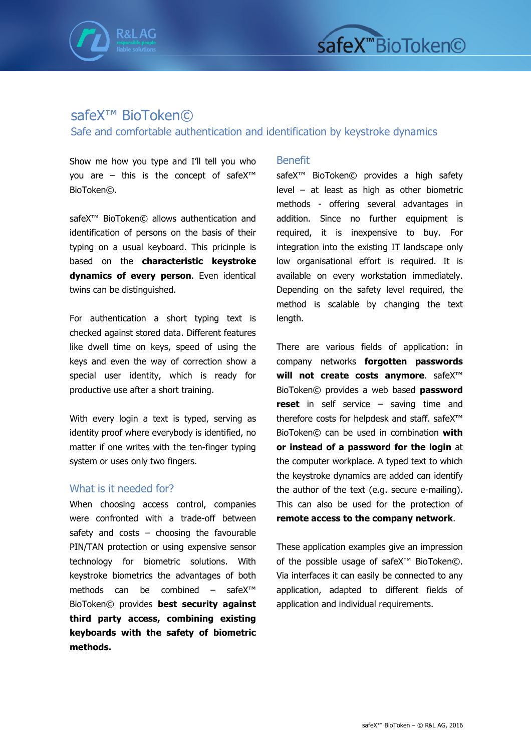



## safeX<sup>™</sup> BioToken©

Safe and comfortable authentication and identification by keystroke dynamics

Show me how you type and I'll tell you who you are – this is the concept of safeX™ BioToken©.

safeX<sup>™</sup> BioToken© allows authentication and identification of persons on the basis of their typing on a usual keyboard. This pricinple is based on the **characteristic keystroke dynamics of every person**. Even identical twins can be distinguished.

For authentication a short typing text is checked against stored data. Different features like dwell time on keys, speed of using the keys and even the way of correction show a special user identity, which is ready for productive use after a short training.

With every login a text is typed, serving as identity proof where everybody is identified, no matter if one writes with the ten-finger typing system or uses only two fingers.

## What is it needed for?

When choosing access control, companies were confronted with a trade-off between safety and costs  $-$  choosing the favourable PIN/TAN protection or using expensive sensor technology for biometric solutions. With keystroke biometrics the advantages of both methods can be combined – safeX™ BioToken© provides **best security against third party access, combining existing keyboards with the safety of biometric methods.** 

## Benefit

safeX<sup>™</sup> BioToken© provides a high safety level – at least as high as other biometric methods - offering several advantages in addition. Since no further equipment is required, it is inexpensive to buy. For integration into the existing IT landscape only low organisational effort is required. It is available on every workstation immediately. Depending on the safety level required, the method is scalable by changing the text length.

There are various fields of application: in company networks **forgotten passwords will not create costs anymore**. safeX™ BioToken© provides a web based **password reset** in self service – saving time and therefore costs for helpdesk and staff. safeX™ BioToken© can be used in combination **with or instead of a password for the login** at the computer workplace. A typed text to which the keystroke dynamics are added can identify the author of the text (e.g. secure e-mailing). This can also be used for the protection of **remote access to the company network**.

These application examples give an impression of the possible usage of safeX™ BioToken©. Via interfaces it can easily be connected to any application, adapted to different fields of application and individual requirements.